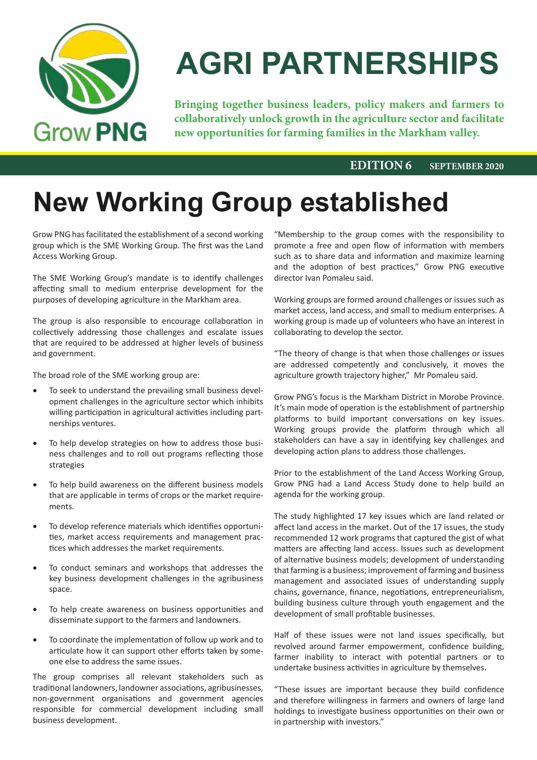

# **AGRI PARTNERSHIPS**

**Bringing together business leaders, policy makers and farmers to collaboratively unlock growth in the agriculture sector and facilitate new opportunities for farming families in the Markham valley.**

#### **EDITION 6 SEPTEMBER 2020**

# **New Working Group established**

Grow PNG has facilitated the establishment of a second working group which is the SME Working Group. The first was the Land Access Working Group.

The SME Working Group's mandate is to identify challenges affecting small to medium enterprise development for the purposes of developing agriculture in the Markham area.

The group is also responsible to encourage collaboration in collectively addressing those challenges and escalate issues that are required to be addressed at higher levels of business and government.

The broad role of the SME working group are:

- To seek to understand the prevailing small business development challenges in the agriculture sector which inhibits willing participation in agricultural activities including partnerships ventures.
- To help develop strategies on how to address those business challenges and to roll out programs reflecting those strategies
- To help build awareness on the different business models that are applicable in terms of crops or the market requirements.
- To develop reference materials which identifies opportunities, market access requirements and management practices which addresses the market requirements.
- To conduct seminars and workshops that addresses the key business development challenges in the agribusiness space.
- To help create awareness on business opportunities and disseminate support to the farmers and landowners.
- To coordinate the implementation of follow up work and to articulate how it can support other efforts taken by someone else to address the same issues.

The group comprises all relevant stakeholders such as traditional landowners, landowner associations, agribusinesses, non-government organisations and government agencies responsible for commercial development including small business development.

"Membership to the group comes with the responsibility to promote a free and open flow of information with members such as to share data and information and maximize learning and the adoption of best practices," Grow PNG executive director Ivan Pomaleu said.

Working groups are formed around challenges or issues such as market access, land access, and small to medium enterprises. A working group is made up of volunteers who have an interest in collaborating to develop the sector.

"The theory of change is that when those challenges or issues are addressed competently and conclusively, it moves the agriculture growth trajectory higher," Mr Pomaleu said.

Grow PNG's focus is the Markham District in Morobe Province. It's main mode of operation is the establishment of partnership platforms to build important conversations on key issues. Working groups provide the platform through which all stakeholders can have a say in identifying key challenges and developing action plans to address those challenges.

Prior to the establishment of the Land Access Working Group, Grow PNG had a Land Access Study done to help build an agenda for the working group.

The study highlighted 17 key issues which are land related or affect land access in the market. Out of the 17 issues, the study recommended 12 work programs that captured the gist of what matters are affecting land access. Issues such as development of alternative business models; development of understanding that farming is a business; improvement of farming and business management and associated issues of understanding supply chains, governance, finance, negotiations, entrepreneurialism, building business culture through youth engagement and the development of small profitable businesses.

Half of these issues were not land issues specifically, but revolved around farmer empowerment, confidence building, farmer inability to interact with potential partners or to undertake business activities in agriculture by themselves.

"These issues are important because they build confidence and therefore willingness in farmers and owners of large land holdings to investigate business opportunities on their own or in partnership with investors."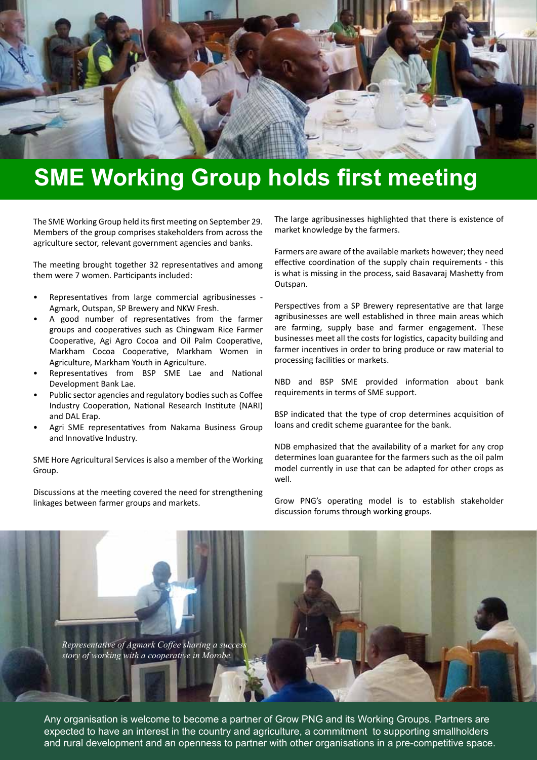

### **SME Working Group holds first meeting**

The SME Working Group held its first meeting on September 29. Members of the group comprises stakeholders from across the agriculture sector, relevant government agencies and banks.

The meeting brought together 32 representatives and among them were 7 women. Participants included:

- Representatives from large commercial agribusinesses Agmark, Outspan, SP Brewery and NKW Fresh.
- A good number of representatives from the farmer groups and cooperatives such as Chingwam Rice Farmer Cooperative, Agi Agro Cocoa and Oil Palm Cooperative, Markham Cocoa Cooperative, Markham Women in Agriculture, Markham Youth in Agriculture.
- Representatives from BSP SME Lae and National Development Bank Lae.
- Public sector agencies and regulatory bodies such as Coffee Industry Cooperation, National Research Institute (NARI) and DAL Erap.
- Agri SME representatives from Nakama Business Group and Innovative Industry.

SME Hore Agricultural Services is also a member of the Working Group.

Discussions at the meeting covered the need for strengthening linkages between farmer groups and markets.

The large agribusinesses highlighted that there is existence of market knowledge by the farmers.

Farmers are aware of the available markets however; they need effective coordination of the supply chain requirements - this is what is missing in the process, said Basavaraj Mashetty from Outspan.

Perspectives from a SP Brewery representative are that large agribusinesses are well established in three main areas which are farming, supply base and farmer engagement. These businesses meet all the costs for logistics, capacity building and farmer incentives in order to bring produce or raw material to processing facilities or markets.

NBD and BSP SME provided information about bank requirements in terms of SME support.

BSP indicated that the type of crop determines acquisition of loans and credit scheme guarantee for the bank.

NDB emphasized that the availability of a market for any crop determines loan guarantee for the farmers such as the oil palm model currently in use that can be adapted for other crops as well.

Grow PNG's operating model is to establish stakeholder discussion forums through working groups.

*Representative of Agmark Coffee sharing a success story of working with a cooperative in Morobe.*

Any organisation is welcome to become a partner of Grow PNG and its Working Groups. Partners are expected to have an interest in the country and agriculture, a commitment to supporting smallholders and rural development and an openness to partner with other organisations in a pre-competitive space.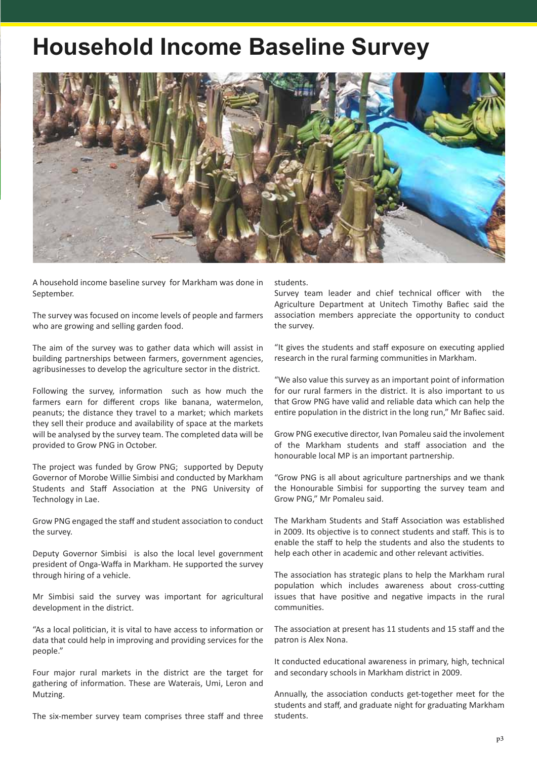### **Household Income Baseline Survey**



A household income baseline survey for Markham was done in September.

The survey was focused on income levels of people and farmers who are growing and selling garden food.

The aim of the survey was to gather data which will assist in building partnerships between farmers, government agencies, agribusinesses to develop the agriculture sector in the district.

Following the survey, information such as how much the farmers earn for different crops like banana, watermelon, peanuts; the distance they travel to a market; which markets they sell their produce and availability of space at the markets will be analysed by the survey team. The completed data will be provided to Grow PNG in October.

The project was funded by Grow PNG; supported by Deputy Governor of Morobe Willie Simbisi and conducted by Markham Students and Staff Association at the PNG University of Technology in Lae.

Grow PNG engaged the staff and student association to conduct the survey.

Deputy Governor Simbisi is also the local level government president of Onga-Waffa in Markham. He supported the survey through hiring of a vehicle.

Mr Simbisi said the survey was important for agricultural development in the district.

"As a local politician, it is vital to have access to information or data that could help in improving and providing services for the people."

Four major rural markets in the district are the target for gathering of information. These are Waterais, Umi, Leron and Mutzing.

The six-member survey team comprises three staff and three

students.

Survey team leader and chief technical officer with the Agriculture Department at Unitech Timothy Bafiec said the association members appreciate the opportunity to conduct the survey.

"It gives the students and staff exposure on executing applied research in the rural farming communities in Markham.

"We also value this survey as an important point of information for our rural farmers in the district. It is also important to us that Grow PNG have valid and reliable data which can help the entire population in the district in the long run," Mr Bafiec said.

Grow PNG executive director, Ivan Pomaleu said the involement of the Markham students and staff association and the honourable local MP is an important partnership.

"Grow PNG is all about agriculture partnerships and we thank the Honourable Simbisi for supporting the survey team and Grow PNG," Mr Pomaleu said.

The Markham Students and Staff Association was established in 2009. Its objective is to connect students and staff. This is to enable the staff to help the students and also the students to help each other in academic and other relevant activities.

The association has strategic plans to help the Markham rural population which includes awareness about cross-cutting issues that have positive and negative impacts in the rural communities.

The association at present has 11 students and 15 staff and the patron is Alex Nona.

It conducted educational awareness in primary, high, technical and secondary schools in Markham district in 2009.

Annually, the association conducts get-together meet for the students and staff, and graduate night for graduating Markham students.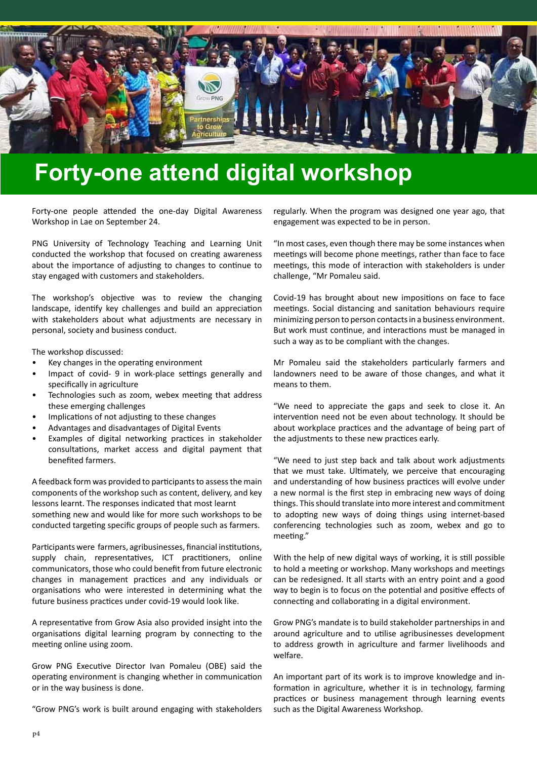

### **Forty-one attend digital workshop**

Forty-one people attended the one-day Digital Awareness Workshop in Lae on September 24.

PNG University of Technology Teaching and Learning Unit conducted the workshop that focused on creating awareness about the importance of adjusting to changes to continue to stay engaged with customers and stakeholders.

The workshop's objective was to review the changing landscape, identify key challenges and build an appreciation with stakeholders about what adjustments are necessary in personal, society and business conduct.

The workshop discussed:

- Key changes in the operating environment
- Impact of covid- 9 in work-place settings generally and specifically in agriculture
- Technologies such as zoom, webex meeting that address these emerging challenges
- Implications of not adjusting to these changes
- Advantages and disadvantages of Digital Events
- Examples of digital networking practices in stakeholder consultations, market access and digital payment that benefited farmers.

A feedback form was provided to participants to assess the main components of the workshop such as content, delivery, and key lessons learnt. The responses indicated that most learnt something new and would like for more such workshops to be conducted targeting specific groups of people such as farmers.

Participants were farmers, agribusinesses, financial institutions, supply chain, representatives, ICT practitioners, online communicators, those who could benefit from future electronic changes in management practices and any individuals or organisations who were interested in determining what the future business practices under covid-19 would look like.

A representative from Grow Asia also provided insight into the organisations digital learning program by connecting to the meeting online using zoom.

Grow PNG Executive Director Ivan Pomaleu (OBE) said the operating environment is changing whether in communication or in the way business is done.

"Grow PNG's work is built around engaging with stakeholders

regularly. When the program was designed one year ago, that engagement was expected to be in person.

"In most cases, even though there may be some instances when meetings will become phone meetings, rather than face to face meetings, this mode of interaction with stakeholders is under challenge, "Mr Pomaleu said.

Covid-19 has brought about new impositions on face to face meetings. Social distancing and sanitation behaviours require minimizing person to person contacts in a business environment. But work must continue, and interactions must be managed in such a way as to be compliant with the changes.

Mr Pomaleu said the stakeholders particularly farmers and landowners need to be aware of those changes, and what it means to them.

"We need to appreciate the gaps and seek to close it. An intervention need not be even about technology. It should be about workplace practices and the advantage of being part of the adjustments to these new practices early.

"We need to just step back and talk about work adjustments that we must take. Ultimately, we perceive that encouraging and understanding of how business practices will evolve under a new normal is the first step in embracing new ways of doing things. This should translate into more interest and commitment to adopting new ways of doing things using internet-based conferencing technologies such as zoom, webex and go to meeting."

With the help of new digital ways of working, it is still possible to hold a meeting or workshop. Many workshops and meetings can be redesigned. It all starts with an entry point and a good way to begin is to focus on the potential and positive effects of connecting and collaborating in a digital environment.

Grow PNG's mandate is to build stakeholder partnerships in and around agriculture and to utilise agribusinesses development to address growth in agriculture and farmer livelihoods and welfare.

An important part of its work is to improve knowledge and information in agriculture, whether it is in technology, farming practices or business management through learning events such as the Digital Awareness Workshop.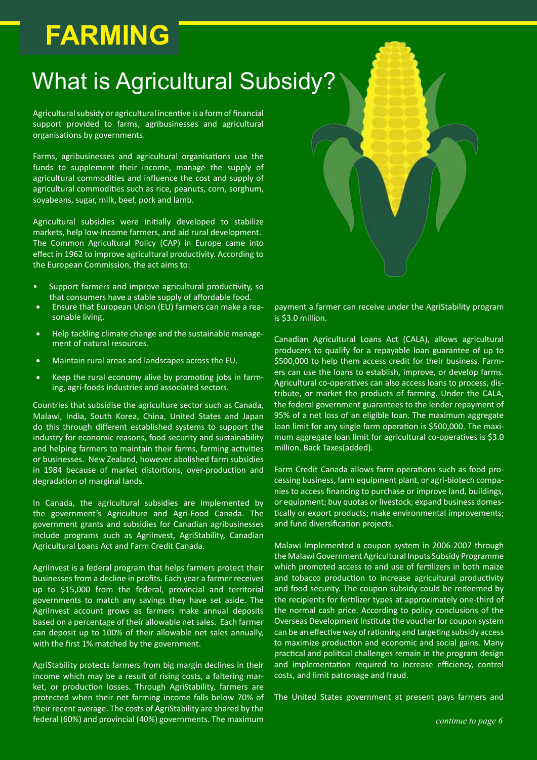# **FARMING**

## What is Agricultural Subsidy?

Agricultural subsidy or agricultural incentive is a form of financial support provided to farms, agribusinesses and agricultural organisations by governments.

Farms, agribusinesses and agricultural organisations use the funds to supplement their income, manage the supply of agricultural commodities and influence the cost and supply of agricultural commodities such as rice, peanuts, corn, sorghum, soyabeans, sugar, milk, beef, pork and lamb.

Agricultural subsidies were initially developed to stabilize markets, help low-income farmers, and aid rural development. The Common Agricultural Policy (CAP) in Europe came into effect in 1962 to improve agricultural productivity. According to the European Commission, the act aims to:

- Support farmers and improve agricultural productivity, so that consumers have a stable supply of affordable food.
- Ensure that European Union (EU) farmers can make a reasonable living.
- Help tackling climate change and the sustainable management of natural resources.
- • Maintain rural areas and landscapes across the EU.
- Keep the rural economy alive by promoting jobs in farming, agri-foods industries and associated sectors.

Countries that subsidise the agriculture sector such as Canada, Malawi, India, South Korea, China, United States and Japan do this through different established systems to support the industry for economic reasons, food security and sustainability and helping farmers to maintain their farms, farming activities or businesses. New Zealand, however abolished farm subsidies in 1984 because of market distortions, over-production and degradation of marginal lands.

In Canada, the agricultural subsidies are implemented by the government's Agriculture and Agri-Food Canada. The government grants and subsidies for Canadian agribusinesses include programs such as AgriInvest, AgriStability, Canadian Agricultural Loans Act and Farm Credit Canada.

AgriInvest is a federal program that helps farmers protect their businesses from a decline in profits. Each year a farmer receives up to \$15,000 from the federal, provincial and territorial governments to match any savings they have set aside. The AgriInvest account grows as farmers make annual deposits based on a percentage of their allowable net sales. Each farmer can deposit up to 100% of their allowable net sales annually, with the first 1% matched by the government.

AgriStability protects farmers from big margin declines in their income which may be a result of rising costs, a faltering market, or production losses. Through AgriStability, farmers are protected when their net farming income falls below 70% of their recent average. The costs of AgriStability are shared by the federal (60%) and provincial (40%) governments. The maximum



payment a farmer can receive under the AgriStability program is \$3.0 million.

Canadian Agricultural Loans Act (CALA), allows agricultural producers to qualify for a repayable loan guarantee of up to \$500,000 to help them access credit for their business. Farmers can use the loans to establish, improve, or develop farms. Agricultural co-operatives can also access loans to process, distribute, or market the products of farming. Under the CALA, the federal government guarantees to the lender repayment of 95% of a net loss of an eligible loan. The maximum aggregate loan limit for any single farm operation is \$500,000. The maximum aggregate loan limit for agricultural co-operatives is \$3.0 million. Back Taxes(added).

Farm Credit Canada allows farm operations such as food processing business, farm equipment plant, or agri-biotech companies to access financing to purchase or improve land, buildings, or equipment; buy quotas or livestock; expand business domestically or export products; make environmental improvements; and fund diversification projects.

Malawi Implemented a coupon system in 2006-2007 through the Malawi Government Agricultural Inputs Subsidy Programme which promoted access to and use of fertilizers in both maize and tobacco production to increase agricultural productivity and food security. The coupon subsidy could be redeemed by the recipients for fertilizer types at approximately one-third of the normal cash price. According to policy conclusions of the Overseas Development Institute the voucher for coupon system can be an effective way of rationing and targeting subsidy access to maximize production and economic and social gains. Many practical and political challenges remain in the program design and implementation required to increase efficiency, control costs, and limit patronage and fraud.

The United States government at present pays farmers and